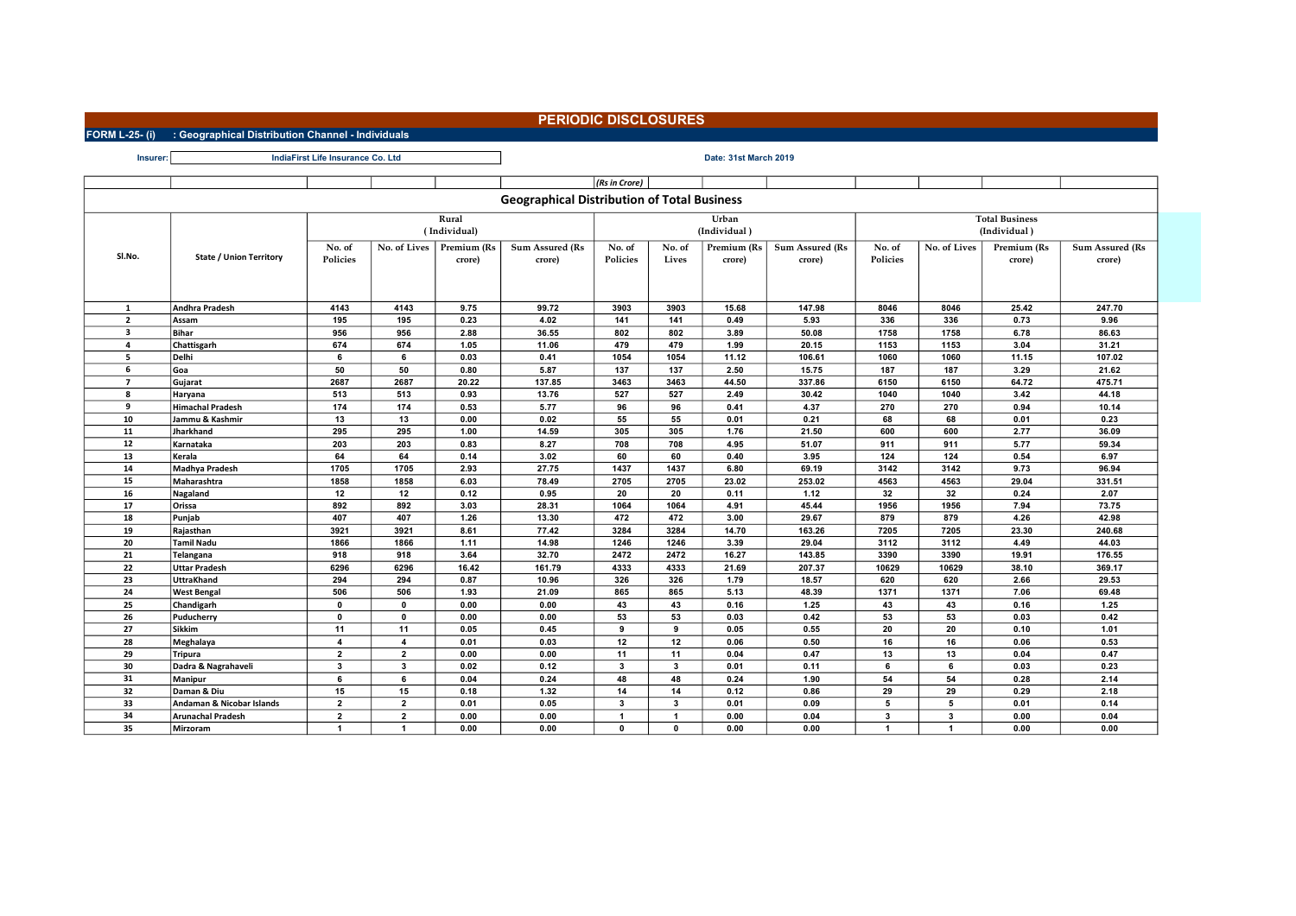## PERIODIC DISCLOSURES

FORM L-25- (i) : Geographical Distribution Channel - Individuals

| <b>Insurer</b>                 | IndiaFirst Life Insurance Co. Ltd     | Date: 31st March 2019              |                                  |                                       |                                                    |                                 |                |               |                        |                         |                         |                       |                        |  |
|--------------------------------|---------------------------------------|------------------------------------|----------------------------------|---------------------------------------|----------------------------------------------------|---------------------------------|----------------|---------------|------------------------|-------------------------|-------------------------|-----------------------|------------------------|--|
|                                |                                       |                                    |                                  |                                       |                                                    | (Rs in Crore)                   |                |               |                        |                         |                         |                       |                        |  |
|                                |                                       |                                    |                                  |                                       |                                                    |                                 |                |               |                        |                         |                         |                       |                        |  |
|                                |                                       |                                    |                                  |                                       | <b>Geographical Distribution of Total Business</b> |                                 |                |               |                        |                         |                         |                       |                        |  |
| Rural<br>Urban                 |                                       |                                    |                                  |                                       |                                                    |                                 |                |               |                        |                         |                         | <b>Total Business</b> |                        |  |
|                                |                                       | (Individual)                       |                                  |                                       |                                                    |                                 |                | (Individual)  |                        | (Individual)            |                         |                       |                        |  |
|                                |                                       | No. of                             | No. of Lives                     | Premium (Rs<br><b>Sum Assured (Rs</b> |                                                    | No. of<br>No. of<br>Premium (Rs |                |               | <b>Sum Assured (Rs</b> | No. of                  | No. of Lives            | Premium (Rs           | <b>Sum Assured (Rs</b> |  |
| Sl.No.                         | <b>State / Union Territory</b>        | Policies                           |                                  | crore)                                | crore)                                             | Policies                        | Lives          | crore)        | crore)                 | Policies                |                         | crore)                | crore)                 |  |
|                                |                                       |                                    |                                  |                                       |                                                    |                                 |                |               |                        |                         |                         |                       |                        |  |
|                                |                                       |                                    |                                  |                                       |                                                    |                                 |                |               |                        |                         |                         |                       |                        |  |
|                                |                                       |                                    |                                  |                                       |                                                    |                                 |                |               |                        |                         |                         |                       |                        |  |
| $\mathbf{1}$<br>$\overline{2}$ | Andhra Pradesh                        | 4143<br>195                        | 4143<br>195                      | 9.75<br>0.23                          | 99.72<br>4.02                                      | 3903<br>141                     | 3903<br>141    | 15.68<br>0.49 | 147.98<br>5.93         | 8046<br>336             | 8046<br>336             | 25.42<br>0.73         | 247.70<br>9.96         |  |
| 3                              | Assam<br><b>Bihar</b>                 | 956                                | 956                              | 2.88                                  | 36.55                                              | 802                             | 802            | 3.89          | 50.08                  | 1758                    | 1758                    | 6.78                  | 86.63                  |  |
| $\overline{a}$                 | Chattisgarh                           | 674                                | 674                              | 1.05                                  | 11.06                                              | 479                             | 479            | 1.99          | 20.15                  | 1153                    | 1153                    | 3.04                  | 31.21                  |  |
| 5                              | Delhi                                 | 6                                  | 6                                | 0.03                                  | 0.41                                               | 1054                            | 1054           | 11.12         | 106.61                 | 1060                    | 1060                    | 11.15                 | 107.02                 |  |
| 6                              | Goa                                   | 50                                 | 50                               | 0.80                                  | 5.87                                               | 137                             | 137            | 2.50          | 15.75                  | 187                     | 187                     | 3.29                  | 21.62                  |  |
| $\overline{7}$                 | Gujarat                               | 2687                               | 2687                             | 20.22                                 | 137.85                                             | 3463                            | 3463           | 44.50         | 337.86                 | 6150                    | 6150                    | 64.72                 | 475.71                 |  |
| 8                              | Haryana                               | 513                                | 513                              | 0.93                                  | 13.76                                              | 527                             | 527            | 2.49          | 30.42                  | 1040                    | 1040                    | 3.42                  | 44.18                  |  |
| 9                              | <b>Himachal Pradesh</b>               | 174                                | 174                              | 0.53                                  | 5.77                                               | 96                              | 96             | 0.41          | 4.37                   | 270                     | 270                     | 0.94                  | 10.14                  |  |
| 10                             | Jammu & Kashmir                       | 13                                 | 13                               | 0.00                                  | 0.02                                               | 55                              | 55             | 0.01          | 0.21                   | 68                      | 68                      | 0.01                  | 0.23                   |  |
| 11                             | Jharkhand                             | 295                                | 295                              | 1.00                                  | 14.59                                              | 305                             | 305            | 1.76          | 21.50                  | 600                     | 600                     | 2.77                  | 36.09                  |  |
| 12                             | Karnataka                             | 203                                | 203                              | 0.83                                  | 8.27                                               | 708                             | 708            | 4.95          | 51.07                  | 911                     | 911                     | 5.77                  | 59.34                  |  |
| 13                             | Kerala                                | 64                                 | 64                               | 0.14                                  | 3.02                                               | 60                              | 60             | 0.40          | 3.95                   | 124                     | 124                     | 0.54                  | 6.97                   |  |
| 14                             | Madhya Pradesh                        | 1705                               | 1705                             | 2.93                                  | 27.75                                              | 1437                            | 1437           | 6.80          | 69.19                  | 3142                    | 3142                    | 9.73                  | 96.94                  |  |
| 15                             | Maharashtra                           | 1858                               | 1858                             | 6.03                                  | 78.49                                              | 2705                            | 2705           | 23.02         | 253.02                 | 4563                    | 4563                    | 29.04                 | 331.51                 |  |
| 16                             | Nagaland                              | 12                                 | 12                               | 0.12                                  | 0.95                                               | 20                              | 20             | 0.11          | 1.12                   | 32                      | 32                      | 0.24                  | 2.07                   |  |
| 17                             | Orissa                                | 892                                | 892                              | 3.03                                  | 28.31                                              | 1064                            | 1064           | 4.91          | 45.44                  | 1956                    | 1956                    | 7.94                  | 73.75                  |  |
| 18                             | Punjab                                | 407                                | 407                              | 1.26                                  | 13.30                                              | 472                             | 472            | 3.00          | 29.67                  | 879                     | 879                     | 4.26                  | 42.98                  |  |
| 19                             | Rajasthan                             | 3921                               | 3921                             | 8.61                                  | 77.42                                              | 3284                            | 3284           | 14.70         | 163.26                 | 7205                    | 7205                    | 23.30                 | 240.68                 |  |
| 20                             | Tamil Nadu                            | 1866                               | 1866                             | 1.11                                  | 14.98                                              | 1246                            | 1246           | 3.39          | 29.04                  | 3112                    | 3112                    | 4.49                  | 44.03                  |  |
| 21                             | Telangana                             | 918                                | 918                              | 3.64                                  | 32.70                                              | 2472                            | 2472           | 16.27         | 143.85                 | 3390                    | 3390                    | 19.91                 | 176.55                 |  |
| 22                             | <b>Uttar Pradesh</b>                  | 6296                               | 6296                             | 16.42                                 | 161.79                                             | 4333                            | 4333           | 21.69         | 207.37                 | 10629                   | 10629                   | 38.10                 | 369.17                 |  |
| 23                             | <b>UttraKhand</b>                     | 294                                | 294                              | 0.87                                  | 10.96                                              | 326                             | 326            | 1.79          | 18.57                  | 620                     | 620                     | 2.66                  | 29.53                  |  |
| 24                             | <b>West Bengal</b>                    | 506                                | 506                              | 1.93                                  | 21.09                                              | 865                             | 865            | 5.13          | 48.39                  | 1371                    | 1371                    | 7.06                  | 69.48                  |  |
| 25                             | Chandigarh                            | $\mathbf 0$                        | $\mathbf 0$                      | 0.00                                  | 0.00                                               | 43                              | 43             | 0.16          | 1.25                   | 43                      | 43                      | 0.16                  | 1.25                   |  |
| 26                             | Puducherry                            | $\mathbf{0}$                       | $\mathbf 0$                      | 0.00                                  | 0.00                                               | 53                              | 53             | 0.03          | 0.42                   | 53                      | 53                      | 0.03                  | 0.42                   |  |
| 27<br>28                       | <b>Sikkim</b>                         | 11                                 | 11                               | 0.05                                  | 0.45                                               | 9                               | 9              | 0.05          | 0.55                   | 20                      | 20                      | 0.10                  | 1.01                   |  |
| 29                             | Meghalaya                             | $\boldsymbol{A}$<br>$\overline{2}$ | $\overline{a}$<br>$\overline{2}$ | 0.01<br>0.00                          | 0.03<br>0.00                                       | 12<br>11                        | 12<br>11       | 0.06<br>0.04  | 0.50<br>0.47           | 16<br>13                | 16<br>13                | 0.06<br>0.04          | 0.53<br>0.47           |  |
| 30                             | <b>Tripura</b><br>Dadra & Nagrahaveli | $\overline{\mathbf{3}}$            | $\mathbf{3}$                     | 0.02                                  | 0.12                                               | $\mathbf{3}$                    | $\mathbf{3}$   | 0.01          | 0.11                   | 6                       | 6                       | 0.03                  | 0.23                   |  |
| 31                             | Manipur                               | 6                                  | 6                                | 0.04                                  | 0.24                                               | 48                              | 48             | 0.24          | 1.90                   | 54                      | 54                      | 0.28                  | 2.14                   |  |
| 32                             | Daman & Diu                           | 15                                 | 15                               | 0.18                                  | 1.32                                               | 14                              | 14             | 0.12          | 0.86                   | 29                      | 29                      | 0.29                  | 2.18                   |  |
| 33                             | Andaman & Nicobar Islands             | $\overline{2}$                     | $\overline{\mathbf{2}}$          | 0.01                                  | 0.05                                               | 3                               | 3              | 0.01          | 0.09                   | 5                       | 5                       | 0.01                  | 0.14                   |  |
| 34                             | <b>Arunachal Pradesh</b>              | $\overline{2}$                     | $\overline{2}$                   | 0.00                                  | 0.00                                               | $\mathbf{1}$                    | $\overline{1}$ | 0.00          | 0.04                   | $\overline{\mathbf{3}}$ | $\overline{\mathbf{3}}$ | 0.00                  | 0.04                   |  |
| 35                             | Mirzoram                              | $\overline{1}$                     | $\blacktriangleleft$             | 0.00                                  | 0.00                                               | $\Omega$                        | $\mathbf{0}$   | 0.00          | 0.00                   | $\blacktriangleleft$    | $\overline{\mathbf{1}}$ | 0.00                  | 0.00                   |  |
|                                |                                       |                                    |                                  |                                       |                                                    |                                 |                |               |                        |                         |                         |                       |                        |  |